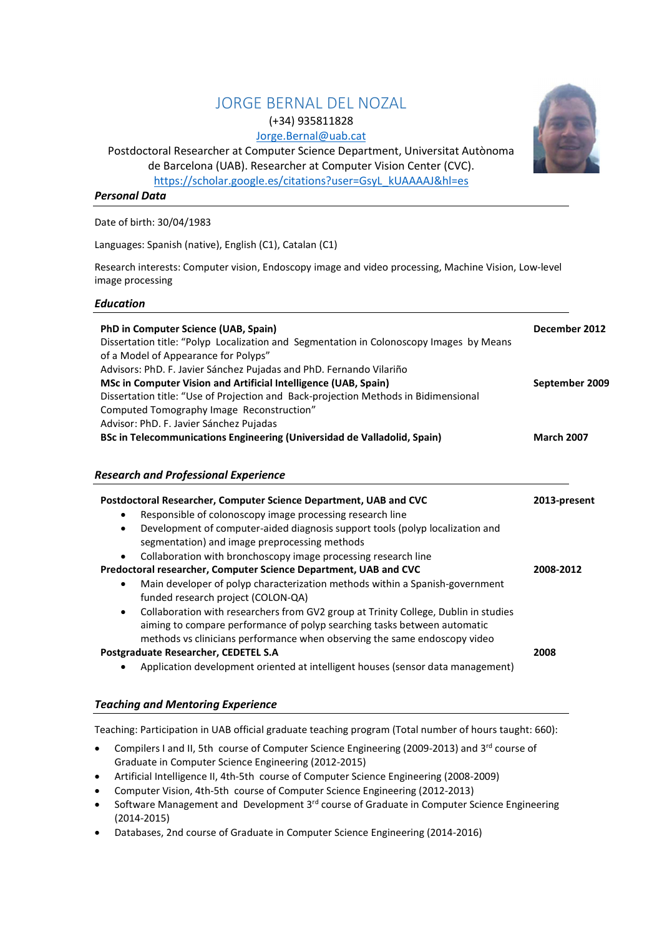# JORGE BERNAL DEL NOZAL (+34) 935811828

Jorge.Bernal@uab.cat

Postdoctoral Researcher at Computer Science Department, Universitat Autònoma



https://scholar.google.es/citations?user=GsyL\_kUAAAAJ&hl=es

## Personal Data

Date of birth: 30/04/1983

Languages: Spanish (native), English (C1), Catalan (C1)

Research interests: Computer vision, Endoscopy image and video processing, Machine Vision, Low-level image processing

### Education

| PhD in Computer Science (UAB, Spain)<br>Dissertation title: "Polyp Localization and Segmentation in Colonoscopy Images by Means<br>of a Model of Appearance for Polyps"                                                                                   | December 2012     |
|-----------------------------------------------------------------------------------------------------------------------------------------------------------------------------------------------------------------------------------------------------------|-------------------|
| Advisors: PhD. F. Javier Sánchez Pujadas and PhD. Fernando Vilariño<br>MSc in Computer Vision and Artificial Intelligence (UAB, Spain)                                                                                                                    | September 2009    |
| Dissertation title: "Use of Projection and Back-projection Methods in Bidimensional                                                                                                                                                                       |                   |
| Computed Tomography Image Reconstruction"                                                                                                                                                                                                                 |                   |
| Advisor: PhD. F. Javier Sánchez Pujadas                                                                                                                                                                                                                   |                   |
| BSc in Telecommunications Engineering (Universidad de Valladolid, Spain)                                                                                                                                                                                  | <b>March 2007</b> |
| <b>Research and Professional Experience</b><br>Postdoctoral Researcher, Computer Science Department, UAB and CVC                                                                                                                                          | 2013-present      |
| Responsible of colonoscopy image processing research line<br>$\bullet$                                                                                                                                                                                    |                   |
| Development of computer-aided diagnosis support tools (polyp localization and<br>$\bullet$<br>segmentation) and image preprocessing methods<br>Collaboration with bronchoscopy image processing research line<br>$\bullet$                                |                   |
| Predoctoral researcher, Computer Science Department, UAB and CVC                                                                                                                                                                                          | 2008-2012         |
| Main developer of polyp characterization methods within a Spanish-government<br>$\bullet$<br>funded research project (COLON-QA)                                                                                                                           |                   |
| Collaboration with researchers from GV2 group at Trinity College, Dublin in studies<br>$\bullet$<br>aiming to compare performance of polyp searching tasks between automatic<br>methods vs clinicians performance when observing the same endoscopy video |                   |
| Postgraduate Researcher, CEDETEL S.A                                                                                                                                                                                                                      | 2008              |

Application development oriented at intelligent houses (sensor data management)

### Teaching and Mentoring Experience

Teaching: Participation in UAB official graduate teaching program (Total number of hours taught: 660):

- Compilers I and II, 5th course of Computer Science Engineering (2009-2013) and 3<sup>rd</sup> course of Graduate in Computer Science Engineering (2012-2015)
- Artificial Intelligence II, 4th-5th course of Computer Science Engineering (2008-2009)
- Computer Vision, 4th-5th course of Computer Science Engineering (2012-2013)
- Software Management and Development 3<sup>rd</sup> course of Graduate in Computer Science Engineering (2014-2015)
- Databases, 2nd course of Graduate in Computer Science Engineering (2014-2016)